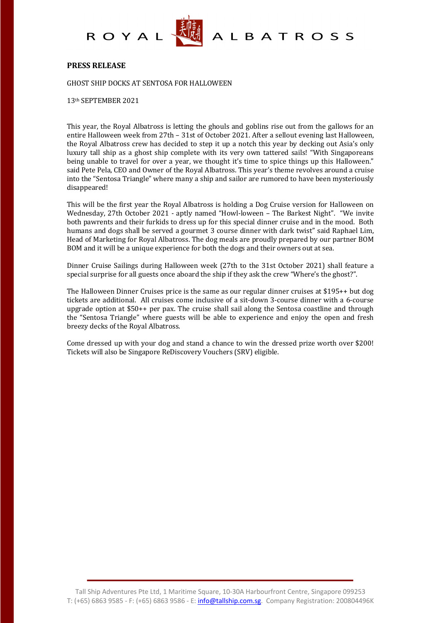



A L B A T R O S S

### **PRESS RELEASE**

GHOST SHIP DOCKS AT SENTOSA FOR HALLOWEEN

13th SEPTEMBER 2021

This year, the Royal Albatross is letting the ghouls and goblins rise out from the gallows for an entire Halloween week from 27th - 31st of October 2021. After a sellout evening last Halloween, the Royal Albatross crew has decided to step it up a notch this year by decking out Asia's only luxury tall ship as a ghost ship complete with its very own tattered sails! "With Singaporeans" being unable to travel for over a year, we thought it's time to spice things up this Halloween." said Pete Pela, CEO and Owner of the Royal Albatross. This year's theme revolves around a cruise into the "Sentosa Triangle" where many a ship and sailor are rumored to have been mysteriously disappeared!

This will be the first year the Royal Albatross is holding a Dog Cruise version for Halloween on Wednesday, 27th October 2021 - aptly named "Howl-loween – The Barkest Night". "We invite both pawrents and their furkids to dress up for this special dinner cruise and in the mood. Both humans and dogs shall be served a gourmet 3 course dinner with dark twist" said Raphael Lim, Head of Marketing for Royal Albatross. The dog meals are proudly prepared by our partner BOM BOM and it will be a unique experience for both the dogs and their owners out at sea.

Dinner Cruise Sailings during Halloween week (27th to the 31st October 2021) shall feature a special surprise for all guests once aboard the ship if they ask the crew "Where's the ghost?".

The Halloween Dinner Cruises price is the same as our regular dinner cruises at  $$195++$  but dog tickets are additional. All cruises come inclusive of a sit-down 3-course dinner with a 6-course upgrade option at  $$50++$  per pax. The cruise shall sail along the Sentosa coastline and through the "Sentosa Triangle" where guests will be able to experience and enjoy the open and fresh breezy decks of the Royal Albatross.

Come dressed up with your dog and stand a chance to win the dressed prize worth over \$200! Tickets will also be Singapore ReDiscovery Vouchers (SRV) eligible.

Tall Ship Adventures Pte Ltd, 1 Maritime Square, 10-30A Harbourfront Centre, Singapore 099253 T: (+65) 6863 9585 - F: (+65) 6863 9586 - E: *info@tallship.com.sg*. Company Registration: 200804496K